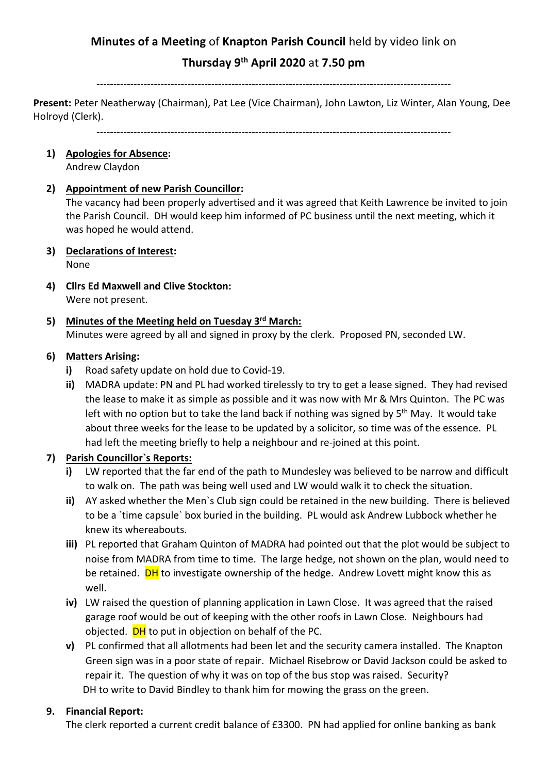# **Minutes of a Meeting** of **Knapton Parish Council** held by video link on

# **Thursday 9th April 2020** at **7.50 pm**

#### ---------------------------------------------------------------------------------------------------------

**Present:** Peter Neatherway (Chairman), Pat Lee (Vice Chairman), John Lawton, Liz Winter, Alan Young, Dee Holroyd (Clerk).

---------------------------------------------------------------------------------------------------------

**1) Apologies for Absence:**

Andrew Claydon

#### **2) Appointment of new Parish Councillor:**

The vacancy had been properly advertised and it was agreed that Keith Lawrence be invited to join the Parish Council. DH would keep him informed of PC business until the next meeting, which it was hoped he would attend.

- **3) Declarations of Interest:** None
- **4) Cllrs Ed Maxwell and Clive Stockton:** Were not present.
- **5) Minutes of the Meeting held on Tuesday 3rd March:** Minutes were agreed by all and signed in proxy by the clerk. Proposed PN, seconded LW.

#### **6) Matters Arising:**

- **i)** Road safety update on hold due to Covid-19.
- **ii)** MADRA update: PN and PL had worked tirelessly to try to get a lease signed. They had revised the lease to make it as simple as possible and it was now with Mr & Mrs Quinton. The PC was left with no option but to take the land back if nothing was signed by  $5<sup>th</sup>$  May. It would take about three weeks for the lease to be updated by a solicitor, so time was of the essence. PL had left the meeting briefly to help a neighbour and re-joined at this point.

### **7) Parish Councillor`s Reports:**

- **i)** LW reported that the far end of the path to Mundesley was believed to be narrow and difficult to walk on. The path was being well used and LW would walk it to check the situation.
- **ii)** AY asked whether the Men`s Club sign could be retained in the new building. There is believed to be a `time capsule` box buried in the building. PL would ask Andrew Lubbock whether he knew its whereabouts.
- **iii)** PL reported that Graham Quinton of MADRA had pointed out that the plot would be subject to noise from MADRA from time to time. The large hedge, not shown on the plan, would need to be retained. **DH** to investigate ownership of the hedge. Andrew Lovett might know this as well.
- **iv)** LW raised the question of planning application in Lawn Close. It was agreed that the raised garage roof would be out of keeping with the other roofs in Lawn Close. Neighbours had objected. **DH** to put in objection on behalf of the PC.
- **v)** PL confirmed that all allotments had been let and the security camera installed. The Knapton Green sign was in a poor state of repair. Michael Risebrow or David Jackson could be asked to repair it. The question of why it was on top of the bus stop was raised. Security? DH to write to David Bindley to thank him for mowing the grass on the green.

### **9. Financial Report:**

The clerk reported a current credit balance of £3300. PN had applied for online banking as bank